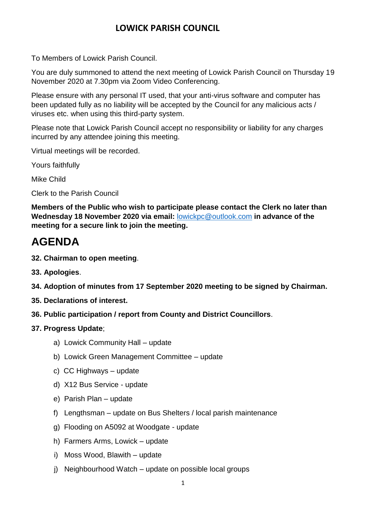### **LOWICK PARISH COUNCIL**

To Members of Lowick Parish Council.

You are duly summoned to attend the next meeting of Lowick Parish Council on Thursday 19 November 2020 at 7.30pm via Zoom Video Conferencing.

Please ensure with any personal IT used, that your anti-virus software and computer has been updated fully as no liability will be accepted by the Council for any malicious acts / viruses etc. when using this third-party system.

Please note that Lowick Parish Council accept no responsibility or liability for any charges incurred by any attendee joining this meeting.

Virtual meetings will be recorded.

Yours faithfully

Mike Child

Clerk to the Parish Council

**Members of the Public who wish to participate please contact the Clerk no later than Wednesday 18 November 2020 via email:** [lowickpc@outlook.com](mailto:lowickpc@outlook.com) **in advance of the meeting for a secure link to join the meeting.**

# **AGENDA**

- **32. Chairman to open meeting**.
- **33. Apologies**.
- **34. Adoption of minutes from 17 September 2020 meeting to be signed by Chairman.**
- **35. Declarations of interest.**
- **36. Public participation / report from County and District Councillors**.
- **37. Progress Update**;
	- a) Lowick Community Hall update
	- b) Lowick Green Management Committee update
	- c) CC Highways update
	- d) X12 Bus Service update
	- e) Parish Plan update
	- f) Lengthsman update on Bus Shelters / local parish maintenance
	- g) Flooding on A5092 at Woodgate update
	- h) Farmers Arms, Lowick update
	- i) Moss Wood, Blawith update
	- j) Neighbourhood Watch update on possible local groups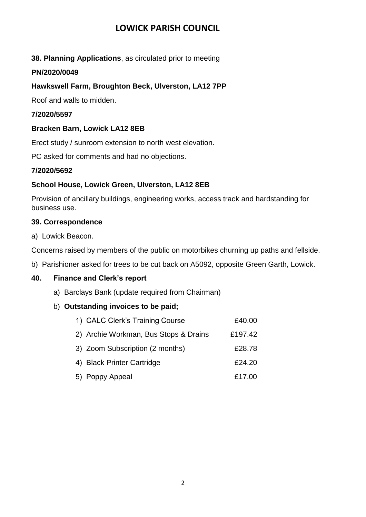### **LOWICK PARISH COUNCIL**

#### **38. Planning Applications**, as circulated prior to meeting

#### **PN/2020/0049**

#### **Hawkswell Farm, Broughton Beck, Ulverston, LA12 7PP**

Roof and walls to midden.

#### **7/2020/5597**

#### **Bracken Barn, Lowick LA12 8EB**

Erect study / sunroom extension to north west elevation.

PC asked for comments and had no objections.

#### **7/2020/5692**

#### **School House, Lowick Green, Ulverston, LA12 8EB**

Provision of ancillary buildings, engineering works, access track and hardstanding for business use.

#### **39. Correspondence**

a) Lowick Beacon.

Concerns raised by members of the public on motorbikes churning up paths and fellside.

b) Parishioner asked for trees to be cut back on A5092, opposite Green Garth, Lowick.

#### **40. Finance and Clerk's report**

a) Barclays Bank (update required from Chairman)

#### b) **Outstanding invoices to be paid;**

| 1) CALC Clerk's Training Course       | £40.00  |
|---------------------------------------|---------|
| 2) Archie Workman, Bus Stops & Drains | £197.42 |
| 3) Zoom Subscription (2 months)       | £28.78  |
| 4) Black Printer Cartridge            | £24.20  |
| 5) Poppy Appeal                       | £17.00  |